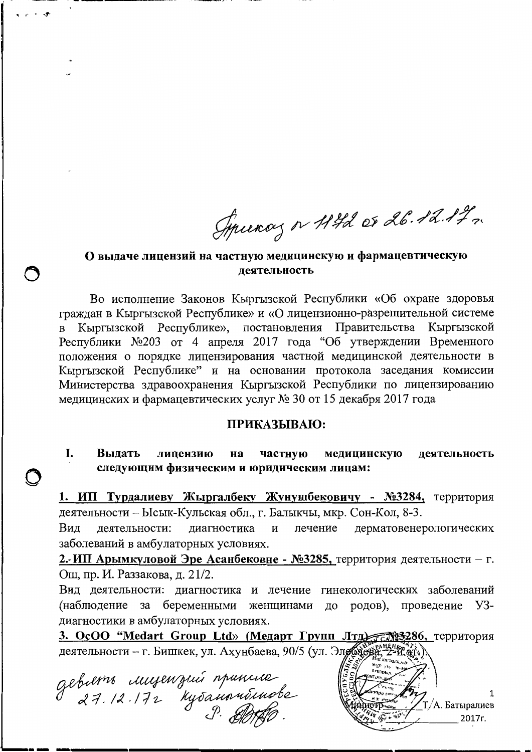Syrunoy or 11th or 26.12.17.

## О выдаче лицензий на частную медицинскую и фармацевтическую леятельность

Во исполнение Законов Кыргызской Республики «Об охране здоровья граждан в Кыргызской Республике» и «О лицензионно-разрешительной системе Кыргызской Республике», постановления Правительства Кыргызской Республики №203 от 4 апреля 2017 года "Об утверждении Временного положения о порядке лицензирования частной медицинской деятельности в Кыргызской Республике" и на основании протокола заседания комиссии Министерства здравоохранения Кыргызской Республики по лицензированию медицинских и фармацевтических услуг № 30 от 15 декабря 2017 года

## ПРИКАЗЫВАЮ:

I. Выдать лицензию на частную медицинскую деятельность следующим физическим и юридическим лицам:

1. ИП Турдалиеву Жыргалбеку Жунушбековичу - №3284, территория деятельности - Ысык-Кульская обл., г. Балыкчы, мкр. Сон-Кол, 8-3.

Вид деятельности: дерматовенерологических диагностика лечение И заболеваний в амбулаторных условиях.

2. ИП Арымкуловой Эре Асанбековне - №3285, территория деятельности - г. Ош, пр. И. Раззакова, д. 21/2.

Вид деятельности: диагностика и лечение гинекологических заболеваний беременными женщинами до родов), проведение (наблюдение за Y3диагностики в амбулаторных условиях.

3. OcOO "Medart Group Ltd» (Медарт Групп Лтд. 68286, территория деятельности - г. Бишкек, ул. Ахунбаева, 90/5 (ул. Элдовера,

gebierre imperizion remainde

1 Т/А. Батыралиев 2017г.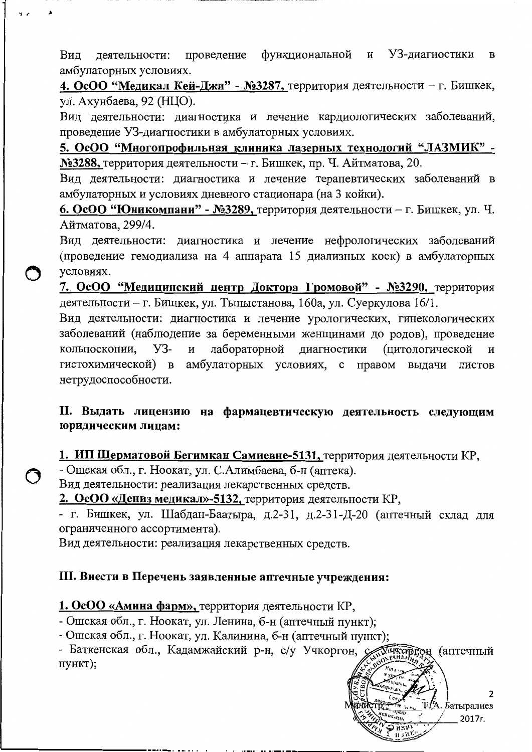проведение функциональной и УЗ-диагностики Вил деятельности:  $\overline{B}$ амбулаторных условиях.

4. ОсОО "Медикал Кей-Джи" - №3287, территория деятельности - г. Бишкек, ул. Ахунбаева, 92 (НЦО).

Вид деятельности: диагностика и лечение кардиологических заболеваний, проведение УЗ-диагностики в амбулаторных условиях.

5. ОсОО "Многопрофильная клиника лазерных технологий "ЛАЗМИК" -№3288, территория деятельности - г. Бишкек, пр. Ч. Айтматова, 20.

Вид деятельности: диагностика и лечение терапевтических заболеваний в амбулаторных и условиях дневного стационара (на 3 койки).

6. ОсОО "Юникомпани" - №3289, территория деятельности - г. Бишкек, ул. Ч. Айтматова, 299/4.

Вид деятельности: диагностика и лечение нефрологических заболеваний (проведение гемодиализа на 4 аппарата 15 диализных коек) в амбулаторных условиях.

7. ОсОО "Медицинский центр Доктора Громовой" - №3290, территория деятельности - г. Бишкек, ул. Тыныстанова, 160а, ул. Суеркулова 16/1.

Вид деятельности: диагностика и лечение урологических, гинекологических заболеваний (наблюдение за беременными женщинами до родов), проведение кольпоскопии. **y3-** $\overline{M}$ лабораторной диагностики (цитологической И амбулаторных условиях, с правом выдачи листов гистохимической) в нетрудоспособности.

## II. Выдать лицензию на фармацевтическую деятельность следующим юридическим лицам:

1. ИП Шерматовой Бегимкан Самиевне-5131, территория деятельности КР,

- Ошская обл., г. Ноокат, ул. С.Алимбаева, б-н (аптека).

Вид деятельности: реализация лекарственных средств.

2. ОсОО «Дениз медикал»-5132, территория деятельности КР,

- г. Бишкек, ул. Шабдан-Баатыра, д.2-31, д.2-31-Д-20 (аптечный склад для ограниченного ассортимента).

Вид деятельности: реализация лекарственных средств.

## III. Внести в Перечень заявленные аптечные учреждения:

1. ОсОО «Амина фарм», территория деятельности КР,

- Ошская обл., г. Ноокат, ул. Ленина, б-н (аптечный пункт);

- Ошская обл., г. Ноокат, ул. Калинина, б-н (аптечный пункт);

- Баткенская обл., Кадамжайский р-н, с/у Учкоргон, с **У ЧКОРГОН** (аптечный пункт);